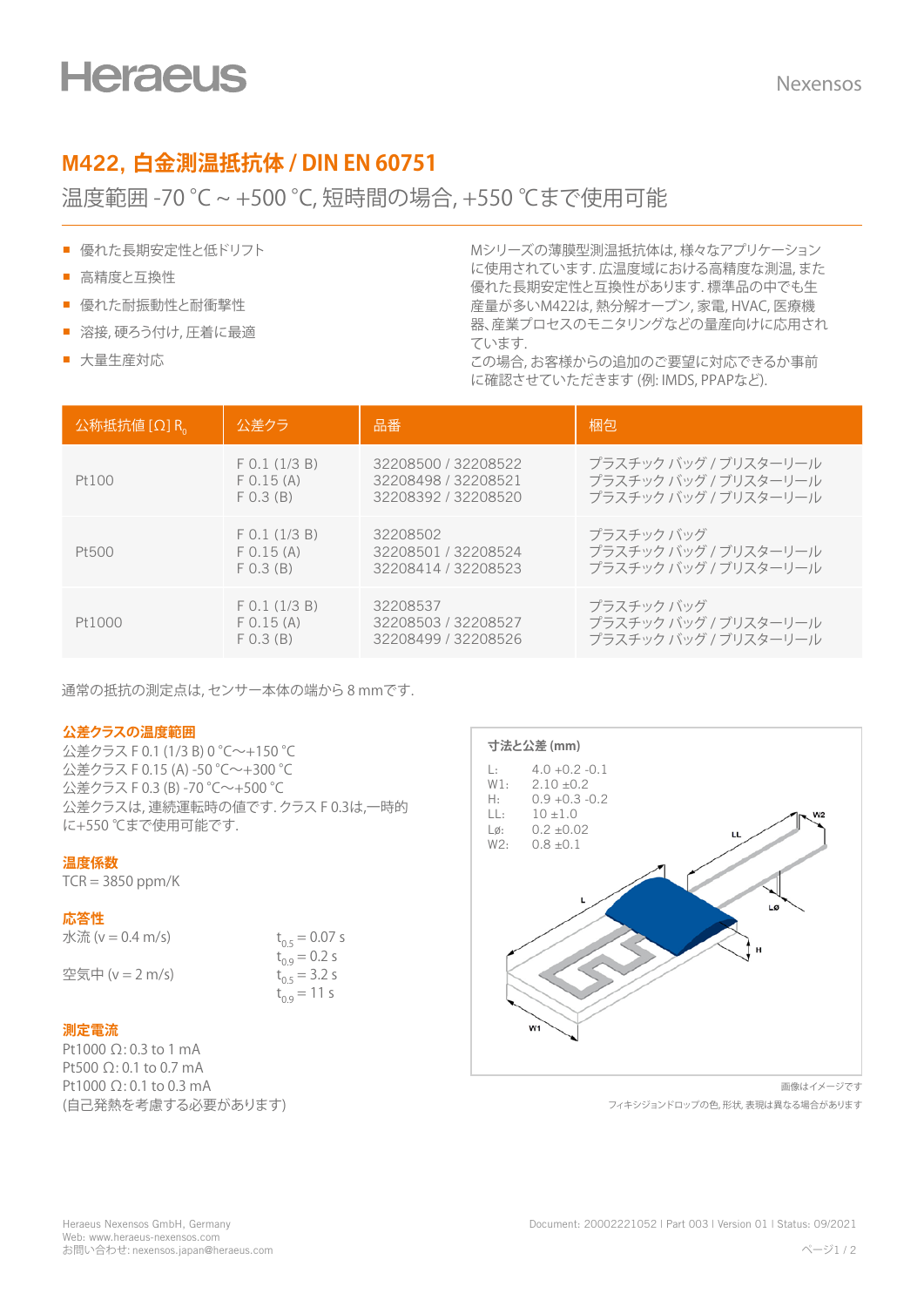# **M422, 白金測温抵抗体 / DIN EN 60751**

## 温度範囲 -70 °C ~ +500 °C, 短時間の場合, +550 ℃まで使用可能

- 優れた長期安定性と低ドリフト
- 高精度と互換性
- 優れた耐振動性と耐衝撃性
- 溶接, 硬ろう付け, 圧着に最適
- 大量生産対応

Mシリーズの薄膜型測温抵抗体は, 様々なアプリケーション に使用されています. 広温度域における高精度な測温, また 優れた長期安定性と互換性があります. 標準品の中でも生 産量が多いM422は, 熱分解オーブン, 家電, HVAC, 医療機 器、産業プロセスのモニタリングなどの量産向けに応用され ています.

この場合, お客様からの追加のご要望に対応できるか事前 に確認させていただきます (例: IMDS, PPAPなど).

| $\Delta \mathcal{M}$ 抵抗値 $\left[ \Omega \right]$ R <sub>0</sub> | 公差クラ            | 品番                  | 梱包                    |
|-----------------------------------------------------------------|-----------------|---------------------|-----------------------|
| Pt100                                                           | $F$ 0.1 (1/3 B) | 32208500 / 32208522 | プラスチック バッグ / ブリスターリール |
|                                                                 | F 0.15 (A)      | 32208498 / 32208521 | プラスチック バッグ / ブリスターリール |
|                                                                 | F(0.3 (B))      | 32208392 / 32208520 | プラスチック バッグ / ブリスターリール |
| Pt500                                                           | $F$ 0.1 (1/3 B) | 32208502            | プラスチック バッグ            |
|                                                                 | F 0.15 (A)      | 32208501 / 32208524 | プラスチック バッグ / ブリスターリール |
|                                                                 | F(0.3 (B))      | 32208414 / 32208523 | プラスチック バッグ / ブリスターリール |
| Pt1000                                                          | $F$ 0.1 (1/3 B) | 32208537            | プラスチック バッグ            |
|                                                                 | F 0.15 (A)      | 32208503 / 32208527 | プラスチック バッグ / ブリスターリール |
|                                                                 | F(0.3 (B))      | 32208499 / 32208526 | プラスチック バッグ / ブリスターリール |

通常の抵抗の測定点は, センサー本体の端から 8 mmです.

### **公差クラスの温度範囲**

公差クラス F 0.1 (1/3 B) 0 °C~+150 °C 公差クラス F 0.15 (A) -50 °C~+300 °C 公差クラス F 0.3 (B) -70 °C~+500 °C 公差クラスは, 連続運転時の値です. クラス F 0.3は,一時的 に+550 ℃まで使用可能です.

### **温度係数**

 $TCR = 3850$  ppm/K

### **応答性**

| 水流 (v = 0.4 m/s) | $t_{0.5} = 0.07$ s |
|------------------|--------------------|
|                  | $t_{0.9} = 0.2$ s  |
| 空気中 (v = 2 m/s)  | $t_{0.5}$ = 3.2 s  |
|                  | $t_{0.9}$ = 11 s   |

### **測定電流**

Pt1000 Ω: 0.3 to 1 mA Pt500 Ω: 0.1 to 0.7 mA Pt1000 Ω: 0.1 to 0.3 mA (自己発熱を考慮する必要があります)



画像はイメージです フィキシジョンドロップの色, 形状, 表現は異なる場合があります